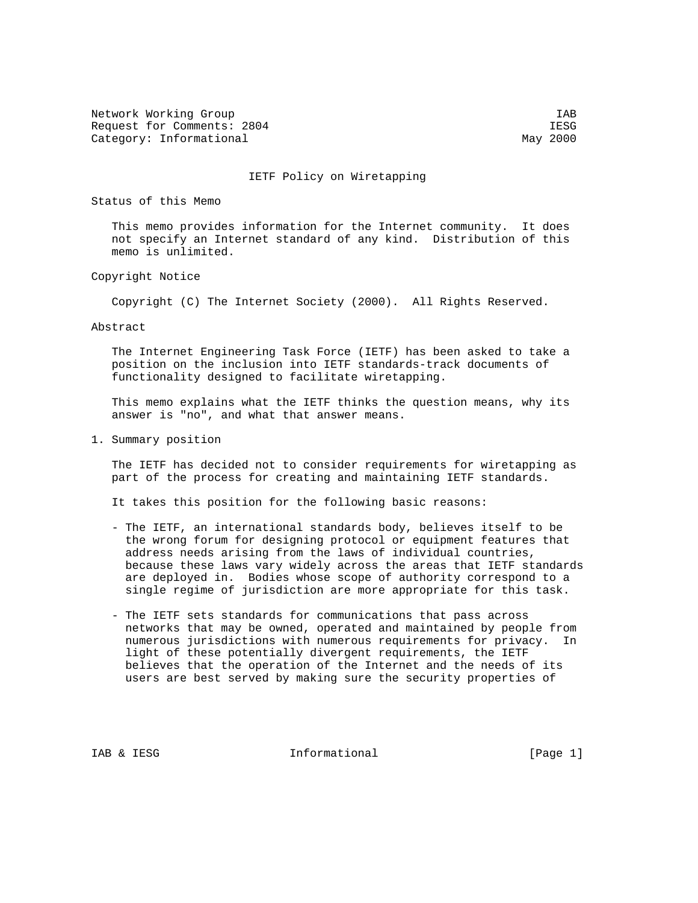| Network Working Group      | IAB      |
|----------------------------|----------|
| Request for Comments: 2804 | IESG     |
| Category: Informational    | May 2000 |

May 2000

## IETF Policy on Wiretapping

Status of this Memo

 This memo provides information for the Internet community. It does not specify an Internet standard of any kind. Distribution of this memo is unlimited.

## Copyright Notice

Copyright (C) The Internet Society (2000). All Rights Reserved.

## Abstract

 The Internet Engineering Task Force (IETF) has been asked to take a position on the inclusion into IETF standards-track documents of functionality designed to facilitate wiretapping.

 This memo explains what the IETF thinks the question means, why its answer is "no", and what that answer means.

1. Summary position

 The IETF has decided not to consider requirements for wiretapping as part of the process for creating and maintaining IETF standards.

It takes this position for the following basic reasons:

- The IETF, an international standards body, believes itself to be the wrong forum for designing protocol or equipment features that address needs arising from the laws of individual countries, because these laws vary widely across the areas that IETF standards are deployed in. Bodies whose scope of authority correspond to a single regime of jurisdiction are more appropriate for this task.
- The IETF sets standards for communications that pass across networks that may be owned, operated and maintained by people from numerous jurisdictions with numerous requirements for privacy. In light of these potentially divergent requirements, the IETF believes that the operation of the Internet and the needs of its users are best served by making sure the security properties of

IAB & IESG informational [Page 1]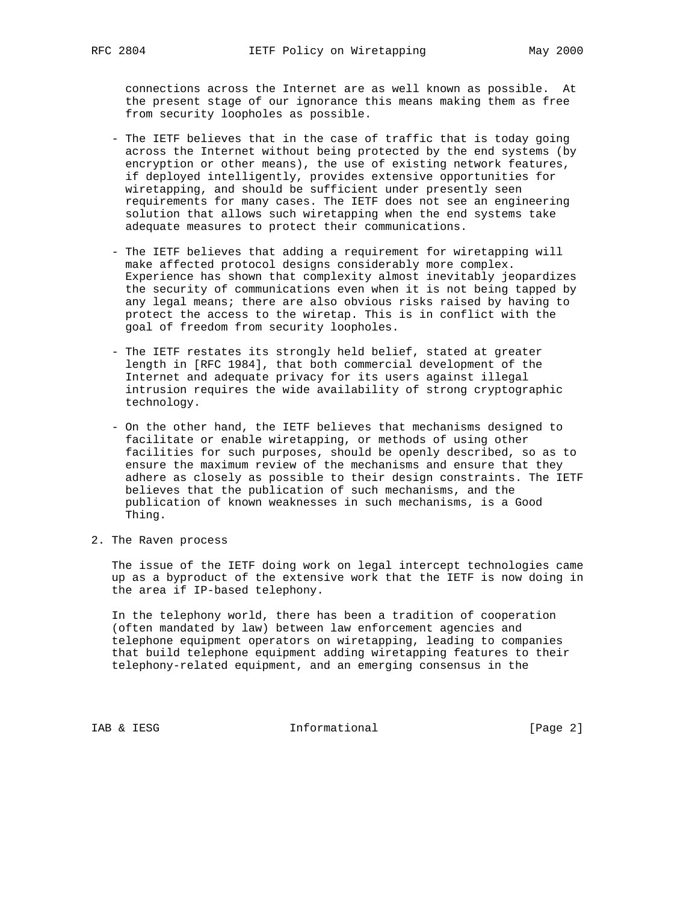connections across the Internet are as well known as possible. At the present stage of our ignorance this means making them as free from security loopholes as possible.

- The IETF believes that in the case of traffic that is today going across the Internet without being protected by the end systems (by encryption or other means), the use of existing network features, if deployed intelligently, provides extensive opportunities for wiretapping, and should be sufficient under presently seen requirements for many cases. The IETF does not see an engineering solution that allows such wiretapping when the end systems take adequate measures to protect their communications.
- The IETF believes that adding a requirement for wiretapping will make affected protocol designs considerably more complex. Experience has shown that complexity almost inevitably jeopardizes the security of communications even when it is not being tapped by any legal means; there are also obvious risks raised by having to protect the access to the wiretap. This is in conflict with the goal of freedom from security loopholes.
- The IETF restates its strongly held belief, stated at greater length in [RFC 1984], that both commercial development of the Internet and adequate privacy for its users against illegal intrusion requires the wide availability of strong cryptographic technology.
- On the other hand, the IETF believes that mechanisms designed to facilitate or enable wiretapping, or methods of using other facilities for such purposes, should be openly described, so as to ensure the maximum review of the mechanisms and ensure that they adhere as closely as possible to their design constraints. The IETF believes that the publication of such mechanisms, and the publication of known weaknesses in such mechanisms, is a Good Thing.
- 2. The Raven process

 The issue of the IETF doing work on legal intercept technologies came up as a byproduct of the extensive work that the IETF is now doing in the area if IP-based telephony.

 In the telephony world, there has been a tradition of cooperation (often mandated by law) between law enforcement agencies and telephone equipment operators on wiretapping, leading to companies that build telephone equipment adding wiretapping features to their telephony-related equipment, and an emerging consensus in the

IAB & IESG **IESG** Informational [Page 2]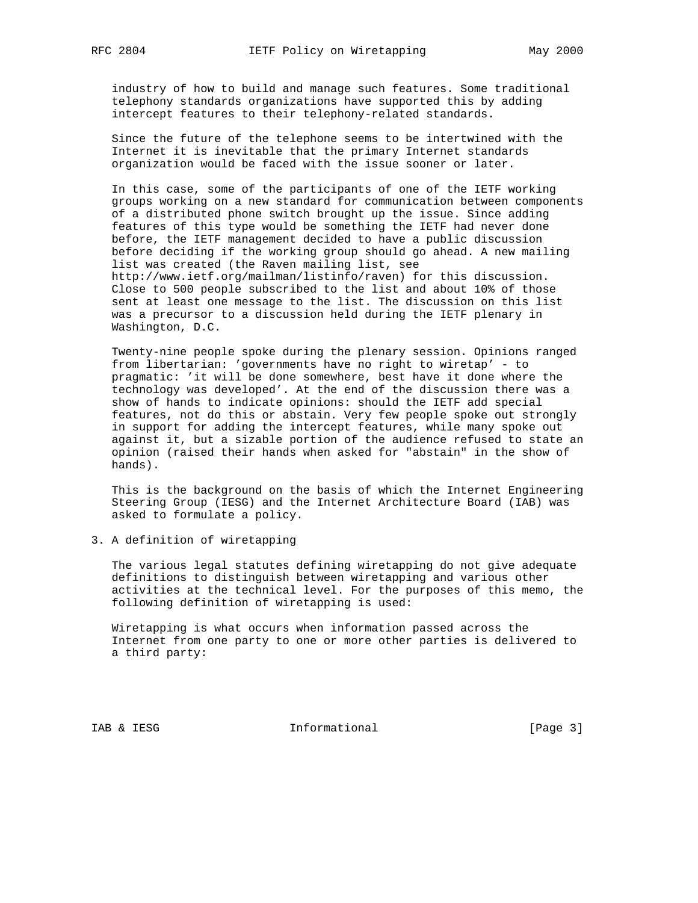industry of how to build and manage such features. Some traditional telephony standards organizations have supported this by adding intercept features to their telephony-related standards.

 Since the future of the telephone seems to be intertwined with the Internet it is inevitable that the primary Internet standards organization would be faced with the issue sooner or later.

 In this case, some of the participants of one of the IETF working groups working on a new standard for communication between components of a distributed phone switch brought up the issue. Since adding features of this type would be something the IETF had never done before, the IETF management decided to have a public discussion before deciding if the working group should go ahead. A new mailing list was created (the Raven mailing list, see http://www.ietf.org/mailman/listinfo/raven) for this discussion. Close to 500 people subscribed to the list and about 10% of those sent at least one message to the list. The discussion on this list was a precursor to a discussion held during the IETF plenary in Washington, D.C.

 Twenty-nine people spoke during the plenary session. Opinions ranged from libertarian: 'governments have no right to wiretap' - to pragmatic: 'it will be done somewhere, best have it done where the technology was developed'. At the end of the discussion there was a show of hands to indicate opinions: should the IETF add special features, not do this or abstain. Very few people spoke out strongly in support for adding the intercept features, while many spoke out against it, but a sizable portion of the audience refused to state an opinion (raised their hands when asked for "abstain" in the show of hands).

 This is the background on the basis of which the Internet Engineering Steering Group (IESG) and the Internet Architecture Board (IAB) was asked to formulate a policy.

3. A definition of wiretapping

 The various legal statutes defining wiretapping do not give adequate definitions to distinguish between wiretapping and various other activities at the technical level. For the purposes of this memo, the following definition of wiretapping is used:

 Wiretapping is what occurs when information passed across the Internet from one party to one or more other parties is delivered to a third party:

IAB & IESG  $Informational$  [Page 3]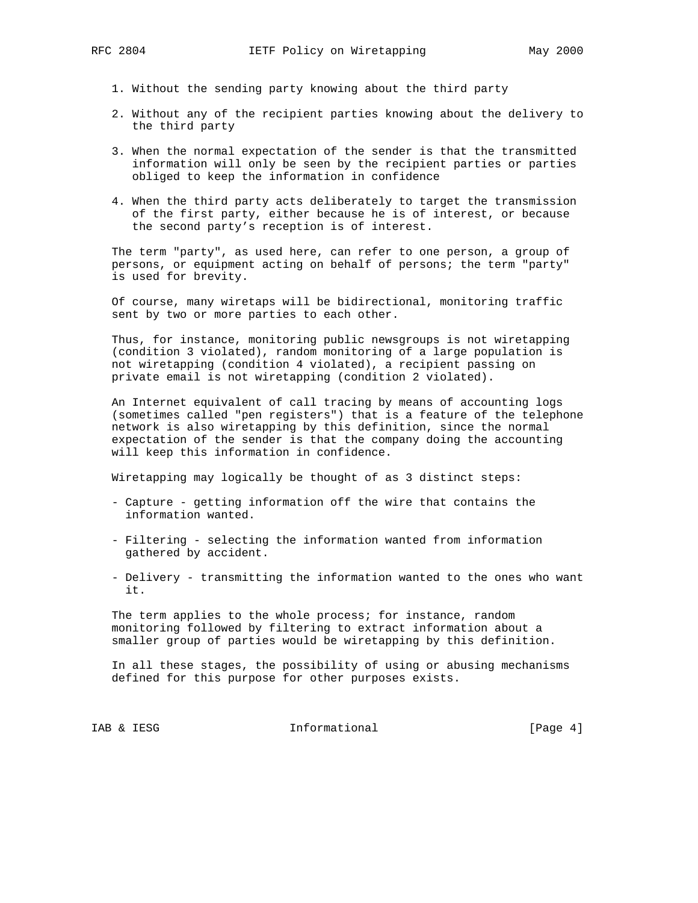- 1. Without the sending party knowing about the third party
- 2. Without any of the recipient parties knowing about the delivery to the third party
- 3. When the normal expectation of the sender is that the transmitted information will only be seen by the recipient parties or parties obliged to keep the information in confidence
- 4. When the third party acts deliberately to target the transmission of the first party, either because he is of interest, or because the second party's reception is of interest.

 The term "party", as used here, can refer to one person, a group of persons, or equipment acting on behalf of persons; the term "party" is used for brevity.

 Of course, many wiretaps will be bidirectional, monitoring traffic sent by two or more parties to each other.

 Thus, for instance, monitoring public newsgroups is not wiretapping (condition 3 violated), random monitoring of a large population is not wiretapping (condition 4 violated), a recipient passing on private email is not wiretapping (condition 2 violated).

 An Internet equivalent of call tracing by means of accounting logs (sometimes called "pen registers") that is a feature of the telephone network is also wiretapping by this definition, since the normal expectation of the sender is that the company doing the accounting will keep this information in confidence.

Wiretapping may logically be thought of as 3 distinct steps:

- Capture getting information off the wire that contains the information wanted.
- Filtering selecting the information wanted from information gathered by accident.
- Delivery transmitting the information wanted to the ones who want it.

 The term applies to the whole process; for instance, random monitoring followed by filtering to extract information about a smaller group of parties would be wiretapping by this definition.

 In all these stages, the possibility of using or abusing mechanisms defined for this purpose for other purposes exists.

IAB & IESG  $Informational$  [Page 4]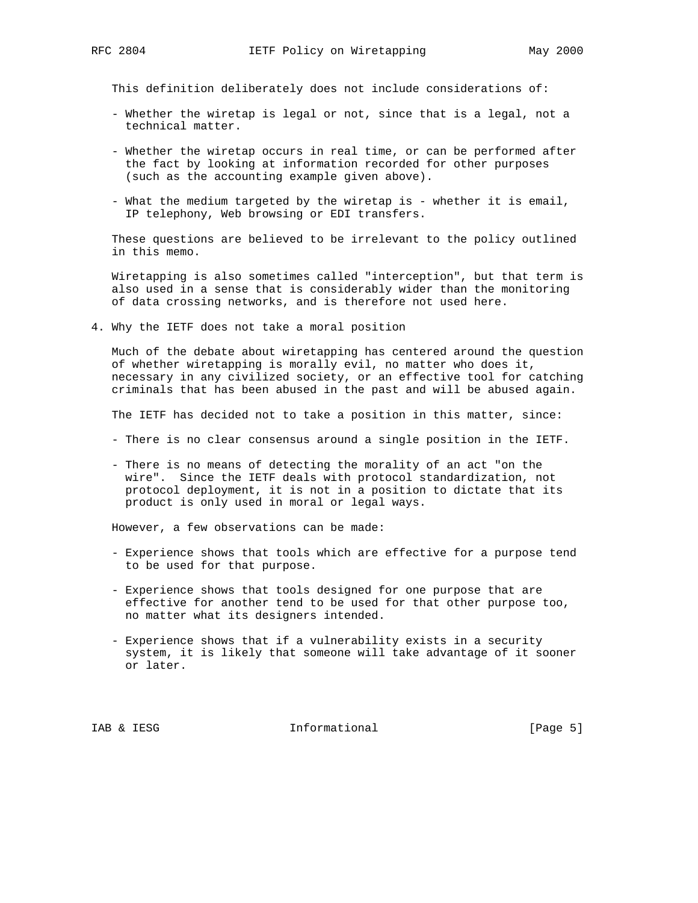This definition deliberately does not include considerations of:

- Whether the wiretap is legal or not, since that is a legal, not a technical matter.
- Whether the wiretap occurs in real time, or can be performed after the fact by looking at information recorded for other purposes (such as the accounting example given above).
- What the medium targeted by the wiretap is whether it is email, IP telephony, Web browsing or EDI transfers.

 These questions are believed to be irrelevant to the policy outlined in this memo.

 Wiretapping is also sometimes called "interception", but that term is also used in a sense that is considerably wider than the monitoring of data crossing networks, and is therefore not used here.

4. Why the IETF does not take a moral position

 Much of the debate about wiretapping has centered around the question of whether wiretapping is morally evil, no matter who does it, necessary in any civilized society, or an effective tool for catching criminals that has been abused in the past and will be abused again.

The IETF has decided not to take a position in this matter, since:

- There is no clear consensus around a single position in the IETF.
- There is no means of detecting the morality of an act "on the wire". Since the IETF deals with protocol standardization, not protocol deployment, it is not in a position to dictate that its product is only used in moral or legal ways.

However, a few observations can be made:

- Experience shows that tools which are effective for a purpose tend to be used for that purpose.
- Experience shows that tools designed for one purpose that are effective for another tend to be used for that other purpose too, no matter what its designers intended.
- Experience shows that if a vulnerability exists in a security system, it is likely that someone will take advantage of it sooner or later.

IAB & IESG  $Informational$  [Page 5]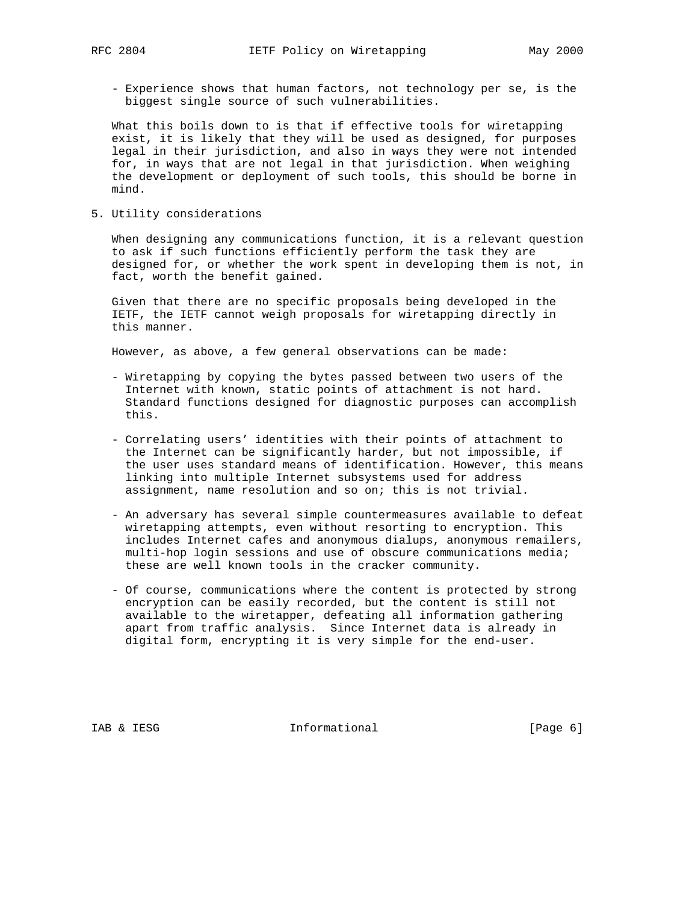- Experience shows that human factors, not technology per se, is the biggest single source of such vulnerabilities.

 What this boils down to is that if effective tools for wiretapping exist, it is likely that they will be used as designed, for purposes legal in their jurisdiction, and also in ways they were not intended for, in ways that are not legal in that jurisdiction. When weighing the development or deployment of such tools, this should be borne in mind.

5. Utility considerations

 When designing any communications function, it is a relevant question to ask if such functions efficiently perform the task they are designed for, or whether the work spent in developing them is not, in fact, worth the benefit gained.

 Given that there are no specific proposals being developed in the IETF, the IETF cannot weigh proposals for wiretapping directly in this manner.

However, as above, a few general observations can be made:

- Wiretapping by copying the bytes passed between two users of the Internet with known, static points of attachment is not hard. Standard functions designed for diagnostic purposes can accomplish this.
- Correlating users' identities with their points of attachment to the Internet can be significantly harder, but not impossible, if the user uses standard means of identification. However, this means linking into multiple Internet subsystems used for address assignment, name resolution and so on; this is not trivial.
- An adversary has several simple countermeasures available to defeat wiretapping attempts, even without resorting to encryption. This includes Internet cafes and anonymous dialups, anonymous remailers, multi-hop login sessions and use of obscure communications media; these are well known tools in the cracker community.
- Of course, communications where the content is protected by strong encryption can be easily recorded, but the content is still not available to the wiretapper, defeating all information gathering apart from traffic analysis. Since Internet data is already in digital form, encrypting it is very simple for the end-user.

IAB & IESG  $Informational$  [Page 6]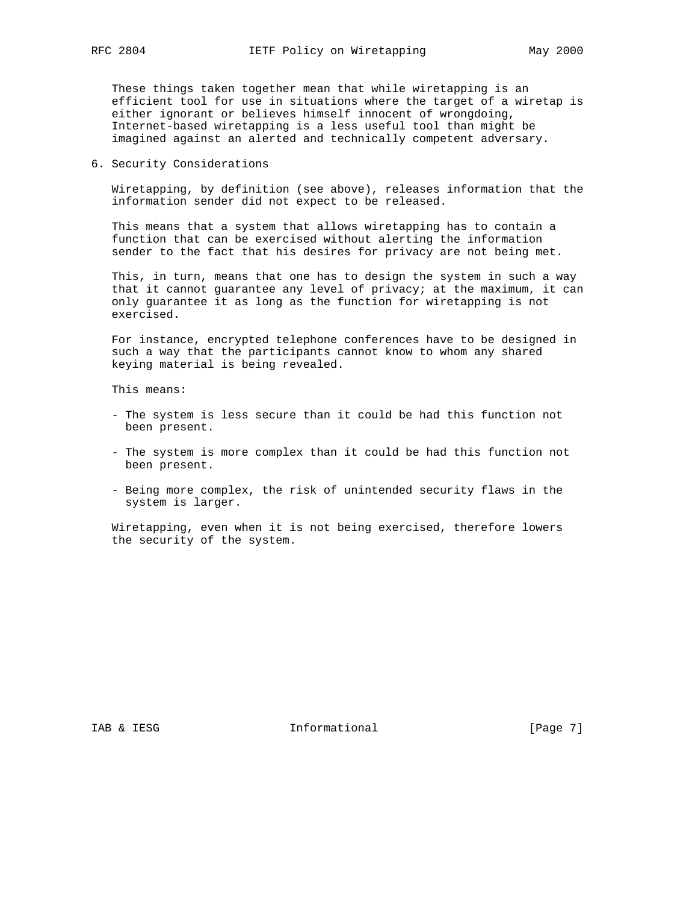These things taken together mean that while wiretapping is an efficient tool for use in situations where the target of a wiretap is either ignorant or believes himself innocent of wrongdoing, Internet-based wiretapping is a less useful tool than might be imagined against an alerted and technically competent adversary.

6. Security Considerations

 Wiretapping, by definition (see above), releases information that the information sender did not expect to be released.

 This means that a system that allows wiretapping has to contain a function that can be exercised without alerting the information sender to the fact that his desires for privacy are not being met.

 This, in turn, means that one has to design the system in such a way that it cannot guarantee any level of privacy; at the maximum, it can only guarantee it as long as the function for wiretapping is not exercised.

 For instance, encrypted telephone conferences have to be designed in such a way that the participants cannot know to whom any shared keying material is being revealed.

This means:

- The system is less secure than it could be had this function not been present.
- The system is more complex than it could be had this function not been present.
- Being more complex, the risk of unintended security flaws in the system is larger.

 Wiretapping, even when it is not being exercised, therefore lowers the security of the system.

IAB & IESG  $Informational$  [Page 7]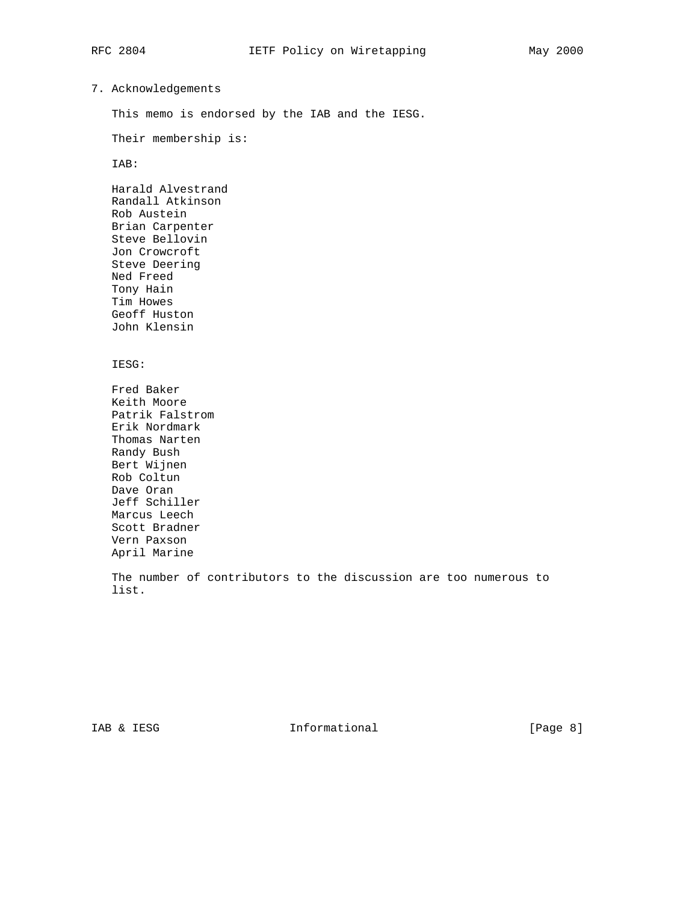7. Acknowledgements

This memo is endorsed by the IAB and the IESG.

Their membership is:

IAB:

 Harald Alvestrand Randall Atkinson Rob Austein Brian Carpenter Steve Bellovin Jon Crowcroft Steve Deering Ned Freed Tony Hain Tim Howes Geoff Huston John Klensin

IESG:

 Fred Baker Keith Moore Patrik Falstrom Erik Nordmark Thomas Narten Randy Bush Bert Wijnen Rob Coltun Dave Oran Jeff Schiller Marcus Leech Scott Bradner Vern Paxson April Marine

 The number of contributors to the discussion are too numerous to list.

IAB & IESG **IESG** Informational [Page 8]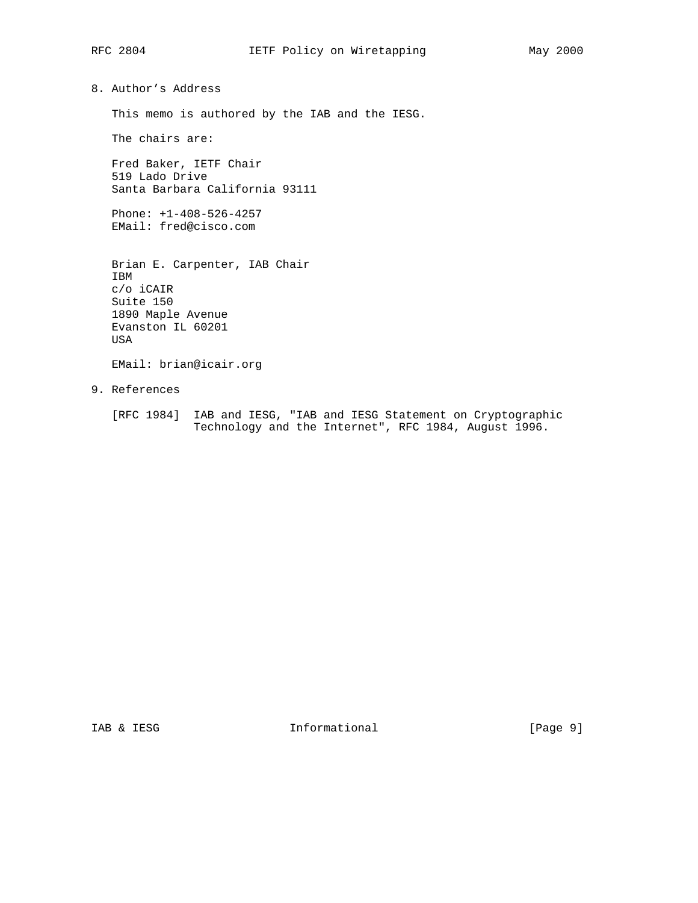8. Author's Address

This memo is authored by the IAB and the IESG.

The chairs are:

 Fred Baker, IETF Chair 519 Lado Drive Santa Barbara California 93111

 Phone: +1-408-526-4257 EMail: fred@cisco.com

 Brian E. Carpenter, IAB Chair IBM c/o iCAIR Suite 150 1890 Maple Avenue Evanston IL 60201 USA

EMail: brian@icair.org

9. References

 [RFC 1984] IAB and IESG, "IAB and IESG Statement on Cryptographic Technology and the Internet", RFC 1984, August 1996.

IAB & IESG **IESG** Informational [Page 9]